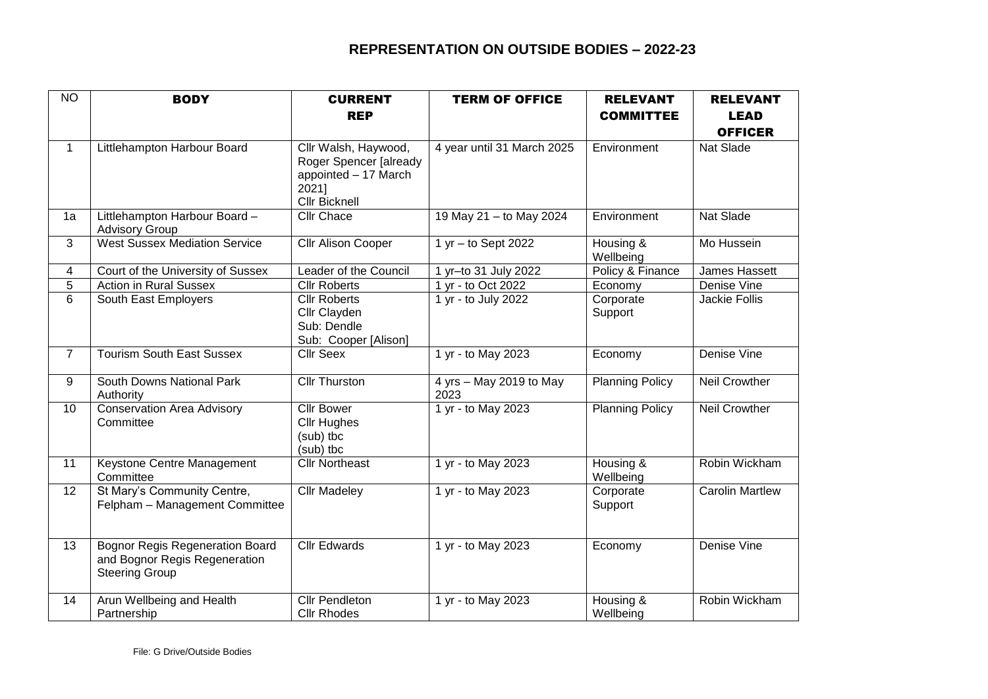## **REPRESENTATION ON OUTSIDE BODIES – 2022-23**

| $\overline{N}$ | <b>BODY</b>                                                                                      | <b>CURRENT</b>                                                                                          | <b>TERM OF OFFICE</b>           | <b>RELEVANT</b>        | <b>RELEVANT</b>        |
|----------------|--------------------------------------------------------------------------------------------------|---------------------------------------------------------------------------------------------------------|---------------------------------|------------------------|------------------------|
|                |                                                                                                  | <b>REP</b>                                                                                              |                                 | <b>COMMITTEE</b>       | <b>LEAD</b>            |
|                |                                                                                                  |                                                                                                         |                                 |                        | <b>OFFICER</b>         |
| $\mathbf{1}$   | Littlehampton Harbour Board                                                                      | Cllr Walsh, Haywood,<br>Roger Spencer [already<br>appointed - 17 March<br>2021]<br><b>Cllr Bicknell</b> | 4 year until 31 March 2025      | Environment            | Nat Slade              |
| 1a             | Littlehampton Harbour Board -<br><b>Advisory Group</b>                                           | Cllr Chace                                                                                              | 19 May 21 - to May 2024         | Environment            | <b>Nat Slade</b>       |
| 3              | <b>West Sussex Mediation Service</b>                                                             | Cllr Alison Cooper                                                                                      | 1 yr - to Sept 2022             | Housing &<br>Wellbeing | Mo Hussein             |
| 4              | Court of the University of Sussex                                                                | Leader of the Council                                                                                   | 1 yr-to 31 July 2022            | Policy & Finance       | James Hassett          |
| 5              | <b>Action in Rural Sussex</b>                                                                    | <b>Cllr Roberts</b>                                                                                     | 1 yr - to Oct 2022              | Economy                | Denise Vine            |
| $\overline{6}$ | South East Employers                                                                             | <b>Cllr Roberts</b><br>Cllr Clayden<br>Sub: Dendle<br>Sub: Cooper [Alison]                              | 1 yr - to July 2022             | Corporate<br>Support   | <b>Jackie Follis</b>   |
| $\overline{7}$ | <b>Tourism South East Sussex</b>                                                                 | <b>Cllr Seex</b>                                                                                        | 1 yr - to May 2023              | Economy                | Denise Vine            |
| 9              | South Downs National Park<br>Authority                                                           | <b>Cllr Thurston</b>                                                                                    | 4 yrs - May 2019 to May<br>2023 | <b>Planning Policy</b> | <b>Neil Crowther</b>   |
| 10             | <b>Conservation Area Advisory</b><br>Committee                                                   | <b>Cllr Bower</b><br><b>Cllr Hughes</b><br>(sub) tbc<br>(sub) tbc                                       | 1 yr - to May 2023              | <b>Planning Policy</b> | <b>Neil Crowther</b>   |
| 11             | Keystone Centre Management<br>Committee                                                          | <b>Cllr Northeast</b>                                                                                   | 1 yr - to May 2023              | Housing &<br>Wellbeing | Robin Wickham          |
| 12             | St Mary's Community Centre,<br>Felpham - Management Committee                                    | <b>Cllr Madeley</b>                                                                                     | 1 yr - to May 2023              | Corporate<br>Support   | <b>Carolin Martlew</b> |
| 13             | <b>Bognor Regis Regeneration Board</b><br>and Bognor Regis Regeneration<br><b>Steering Group</b> | <b>Cllr Edwards</b>                                                                                     | 1 yr - to May 2023              | Economy                | Denise Vine            |
| 14             | Arun Wellbeing and Health<br>Partnership                                                         | <b>Cllr Pendleton</b><br><b>Cllr Rhodes</b>                                                             | 1 yr - to May 2023              | Housing &<br>Wellbeing | Robin Wickham          |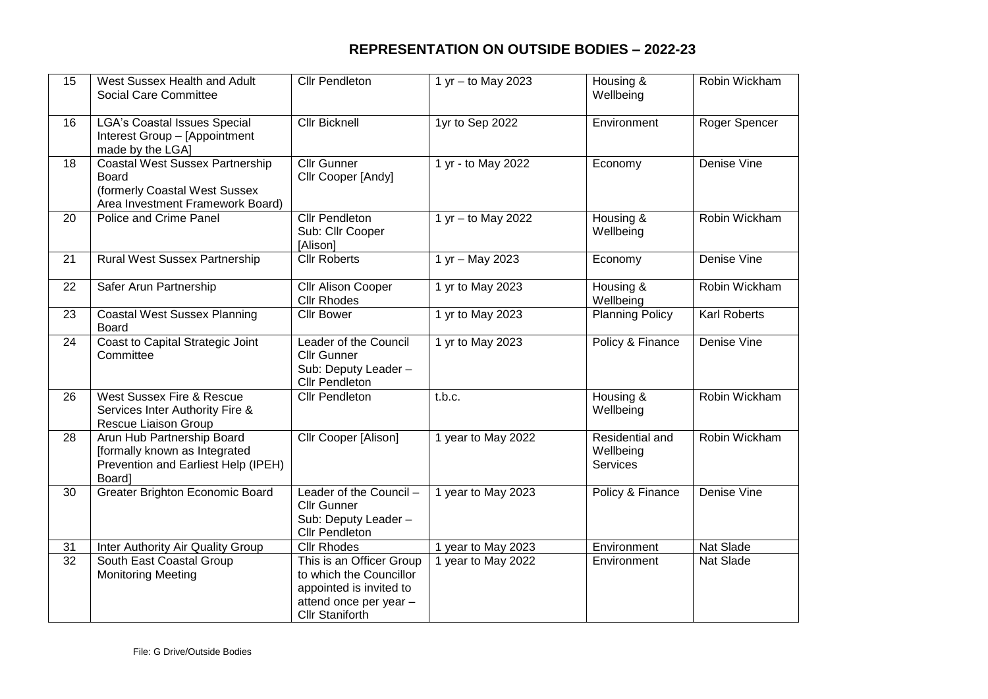## **REPRESENTATION ON OUTSIDE BODIES – 2022-23**

| 15              | West Sussex Health and Adult<br>Social Care Committee                                                                       | <b>Cllr Pendleton</b>                                                                                                              | 1 yr - to May 2023   | Housing &<br>Wellbeing                          | Robin Wickham       |
|-----------------|-----------------------------------------------------------------------------------------------------------------------------|------------------------------------------------------------------------------------------------------------------------------------|----------------------|-------------------------------------------------|---------------------|
| 16              | <b>LGA's Coastal Issues Special</b><br>Interest Group - [Appointment<br>made by the LGA]                                    | <b>Cllr Bicknell</b>                                                                                                               | 1yr to Sep 2022      | Environment                                     | Roger Spencer       |
| 18              | <b>Coastal West Sussex Partnership</b><br><b>Board</b><br>(formerly Coastal West Sussex<br>Area Investment Framework Board) | <b>Cllr Gunner</b><br>Cllr Cooper [Andy]                                                                                           | 1 yr - to May 2022   | Economy                                         | Denise Vine         |
| 20              | Police and Crime Panel                                                                                                      | <b>Cllr Pendleton</b><br>Sub: Cllr Cooper<br>[Alison]                                                                              | $1 yr - to May 2022$ | Housing &<br>Wellbeing                          | Robin Wickham       |
| 21              | <b>Rural West Sussex Partnership</b>                                                                                        | <b>Cllr Roberts</b>                                                                                                                | 1 yr - May 2023      | Economy                                         | Denise Vine         |
| 22              | Safer Arun Partnership                                                                                                      | Cllr Alison Cooper<br><b>Cllr Rhodes</b>                                                                                           | 1 yr to May 2023     | Housing &<br>Wellbeing                          | Robin Wickham       |
| 23              | <b>Coastal West Sussex Planning</b><br>Board                                                                                | <b>Cllr Bower</b>                                                                                                                  | 1 yr to May 2023     | <b>Planning Policy</b>                          | <b>Karl Roberts</b> |
| $\overline{24}$ | Coast to Capital Strategic Joint<br>Committee                                                                               | Leader of the Council<br><b>Cllr Gunner</b><br>Sub: Deputy Leader -<br><b>Cllr Pendleton</b>                                       | 1 yr to May 2023     | Policy & Finance                                | Denise Vine         |
| 26              | West Sussex Fire & Rescue<br>Services Inter Authority Fire &<br>Rescue Liaison Group                                        | <b>Cllr Pendleton</b>                                                                                                              | t.b.c.               | Housing &<br>Wellbeing                          | Robin Wickham       |
| 28              | Arun Hub Partnership Board<br>[formally known as Integrated<br>Prevention and Earliest Help (IPEH)<br>Board]                | <b>Cllr Cooper [Alison]</b>                                                                                                        | 1 year to May 2022   | Residential and<br>Wellbeing<br><b>Services</b> | Robin Wickham       |
| 30              | Greater Brighton Economic Board                                                                                             | Leader of the Council -<br><b>Cllr Gunner</b><br>Sub: Deputy Leader -<br><b>Cllr Pendleton</b>                                     | 1 year to May 2023   | Policy & Finance                                | Denise Vine         |
| 31              | Inter Authority Air Quality Group                                                                                           | <b>Cllr Rhodes</b>                                                                                                                 | 1 year to May 2023   | Environment                                     | Nat Slade           |
| 32              | South East Coastal Group<br><b>Monitoring Meeting</b>                                                                       | This is an Officer Group<br>to which the Councillor<br>appointed is invited to<br>attend once per year -<br><b>Cllr Staniforth</b> | 1 year to May 2022   | Environment                                     | Nat Slade           |